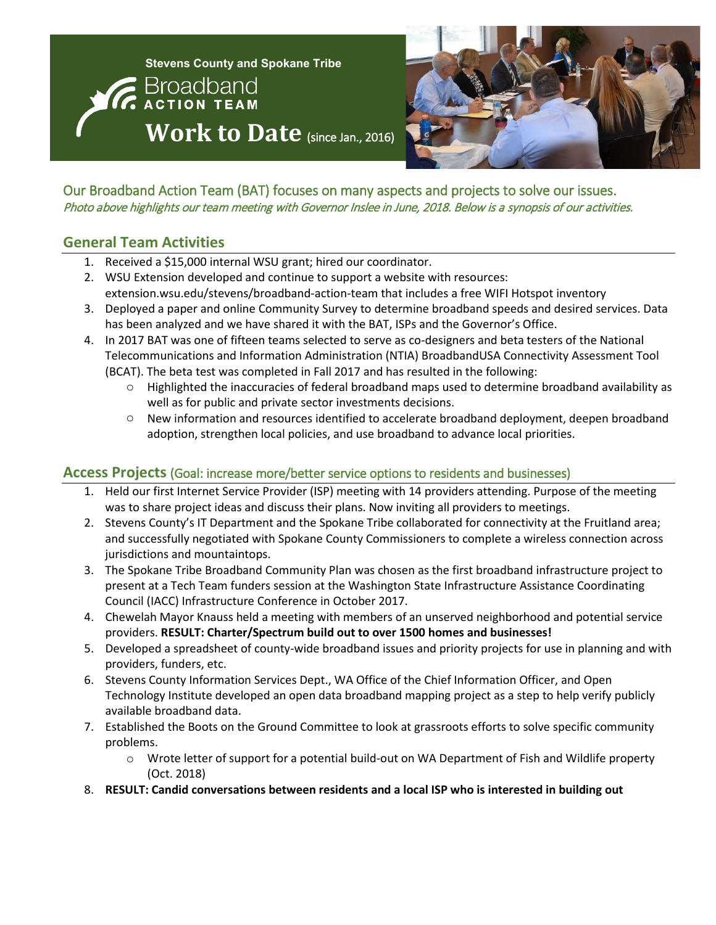



Our Broadband Action Team (BAT) focuses on many aspects and projects to solve our issues. Photo above highlights our team meeting with Governor Inslee in June, 2018. Below is a synopsis of our activities.

## **General Team Activities**

- 1. Received a \$15,000 internal WSU grant; hired our coordinator.
- 2. WSU Extension developed and continue to support a website with resources: extension.wsu.edu/stevens/broadband-action-team that includes a free WIFI Hotspot inventory
- 3. Deployed a paper and online Community Survey to determine broadband speeds and desired services. Data has been analyzed and we have shared it with the BAT, ISPs and the Governor's Office.
- 4. In 2017 BAT was one of fifteen teams selected to serve as co-designers and beta testers of the National Telecommunications and Information Administration (NTIA) BroadbandUSA Connectivity Assessment Tool (BCAT). The beta test was completed in Fall 2017 and has resulted in the following:
	- $\circ$  Highlighted the inaccuracies of federal broadband maps used to determine broadband availability as well as for public and private sector investments decisions.
	- o New information and resources identified to accelerate broadband deployment, deepen broadband adoption, strengthen local policies, and use broadband to advance local priorities.

## **Access Projects** (Goal: increase more/better service options to residents and businesses)

- 1. Held our first Internet Service Provider (ISP) meeting with 14 providers attending. Purpose of the meeting was to share project ideas and discuss their plans. Now inviting all providers to meetings.
- 2. Stevens County's IT Department and the Spokane Tribe collaborated for connectivity at the Fruitland area; and successfully negotiated with Spokane County Commissioners to complete a wireless connection across jurisdictions and mountaintops.
- 3. The Spokane Tribe Broadband Community Plan was chosen as the first broadband infrastructure project to present at a Tech Team funders session at the Washington State Infrastructure Assistance Coordinating Council (IACC) Infrastructure Conference in October 2017.
- 4. Chewelah Mayor Knauss held a meeting with members of an unserved neighborhood and potential service providers. **RESULT: Charter/Spectrum build out to over 1500 homes and businesses!**
- 5. Developed a spreadsheet of county-wide broadband issues and priority projects for use in planning and with providers, funders, etc.
- 6. Stevens County Information Services Dept., WA Office of the Chief Information Officer, and Open Technology Institute developed an open data broadband mapping project as a step to help verify publicly available broadband data.
- 7. Established the Boots on the Ground Committee to look at grassroots efforts to solve specific community problems.
	- o Wrote letter of support for a potential build-out on WA Department of Fish and Wildlife property (Oct. 2018)
- 8. **RESULT: Candid conversations between residents and a local ISP who is interested in building out**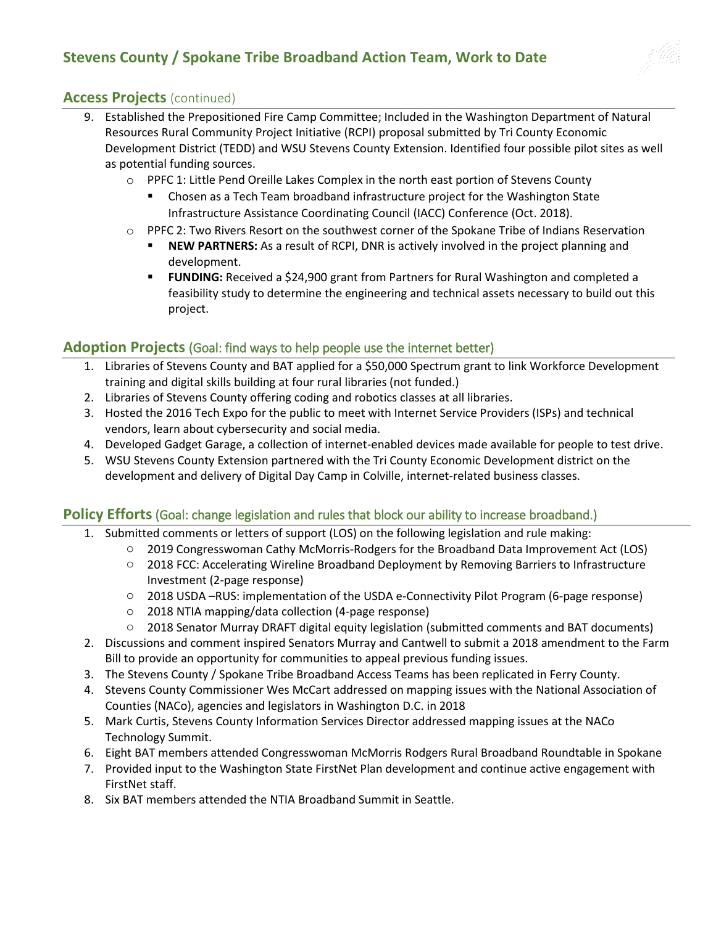# **Stevens County / Spokane Tribe Broadband Action Team, Work to Date**



#### **Access Projects** (continued)

- 9. Established the Prepositioned Fire Camp Committee; Included in the Washington Department of Natural Resources Rural Community Project Initiative (RCPI) proposal submitted by Tri County Economic Development District (TEDD) and WSU Stevens County Extension. Identified four possible pilot sites as well as potential funding sources.
	- o PPFC 1: Little Pend Oreille Lakes Complex in the north east portion of Stevens County
		- Chosen as a Tech Team broadband infrastructure project for the Washington State Infrastructure Assistance Coordinating Council (IACC) Conference (Oct. 2018).
	- $\circ$  PPFC 2: Two Rivers Resort on the southwest corner of the Spokane Tribe of Indians Reservation
		- **NEW PARTNERS:** As a result of RCPI, DNR is actively involved in the project planning and development.
		- **FUNDING:** Received a \$24,900 grant from Partners for Rural Washington and completed a feasibility study to determine the engineering and technical assets necessary to build out this project.

#### **Adoption Projects** (Goal: find ways to help people use the internet better)

- 1. Libraries of Stevens County and BAT applied for a \$50,000 Spectrum grant to link Workforce Development training and digital skills building at four rural libraries (not funded.)
- 2. Libraries of Stevens County offering coding and robotics classes at all libraries.
- 3. Hosted the 2016 Tech Expo for the public to meet with Internet Service Providers (ISPs) and technical vendors, learn about cybersecurity and social media.
- 4. Developed Gadget Garage, a collection of internet-enabled devices made available for people to test drive.
- 5. WSU Stevens County Extension partnered with the Tri County Economic Development district on the development and delivery of Digital Day Camp in Colville, internet-related business classes.

#### Policy Efforts (Goal: change legislation and rules that block our ability to increase broadband.)

- 1. Submitted comments or letters of support (LOS) on the following legislation and rule making:
	- o 2019 Congresswoman Cathy McMorris-Rodgers for the Broadband Data Improvement Act (LOS)
	- o 2018 FCC: Accelerating Wireline Broadband Deployment by Removing Barriers to Infrastructure Investment (2-page response)
	- o 2018 USDA –RUS: implementation of the USDA e-Connectivity Pilot Program (6-page response)
	- o 2018 NTIA mapping/data collection (4-page response)
	- o 2018 Senator Murray DRAFT digital equity legislation (submitted comments and BAT documents)
- 2. Discussions and comment inspired Senators Murray and Cantwell to submit a 2018 amendment to the Farm Bill to provide an opportunity for communities to appeal previous funding issues.
- 3. The Stevens County / Spokane Tribe Broadband Access Teams has been replicated in Ferry County.
- 4. Stevens County Commissioner Wes McCart addressed on mapping issues with the National Association of Counties (NACo), agencies and legislators in Washington D.C. in 2018
- 5. Mark Curtis, Stevens County Information Services Director addressed mapping issues at the NACo Technology Summit.
- 6. Eight BAT members attended Congresswoman McMorris Rodgers Rural Broadband Roundtable in Spokane
- 7. Provided input to the Washington State FirstNet Plan development and continue active engagement with FirstNet staff.
- 8. Six BAT members attended the NTIA Broadband Summit in Seattle.